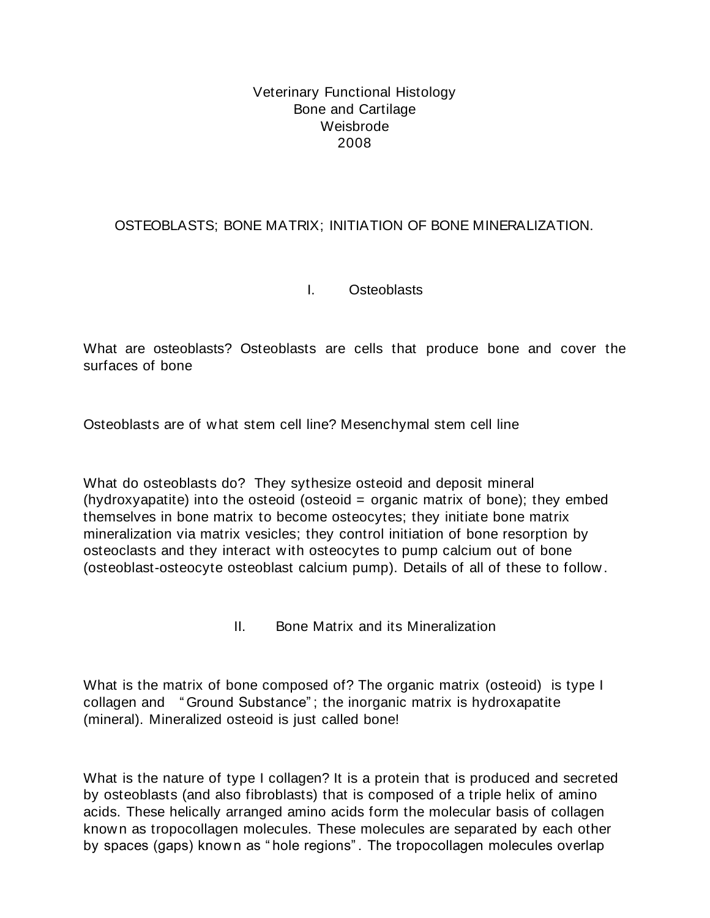### Veterinary Functional Histology Bone and Cartilage Weisbrode 2008

# OSTEOBLASTS; BONE MATRIX; INITIATION OF BONE MINERALIZATION.

### I. Osteoblasts

What are osteoblasts? Osteoblasts are cells that produce bone and cover the surfaces of bone

Osteoblasts are of what stem cell line? Mesenchymal stem cell line

What do osteoblasts do? They sythesize osteoid and deposit mineral (hydroxyapatite) into the osteoid (osteoid  $=$  organic matrix of bone); they embed themselves in bone matrix to become osteocytes; they initiate bone matrix mineralization via matrix vesicles; they control initiation of bone resorption by osteoclasts and they interact with osteocytes to pump calcium out of bone (osteoblast-osteocyte osteoblast calcium pump). Details of all of these to follow .

II. Bone Matrix and its Mineralization

What is the matrix of bone composed of? The organic matrix (osteoid) is type I collagen and " Ground Substance" ; the inorganic matrix is hydroxapatite (mineral). Mineralized osteoid is just called bone!

What is the nature of type I collagen? It is a protein that is produced and secreted by osteoblasts (and also fibroblasts) that is composed of a triple helix of amino acids. These helically arranged amino acids form the molecular basis of collagen known as tropocollagen molecules. These molecules are separated by each other by spaces (gaps) known as " hole regions" . The tropocollagen molecules overlap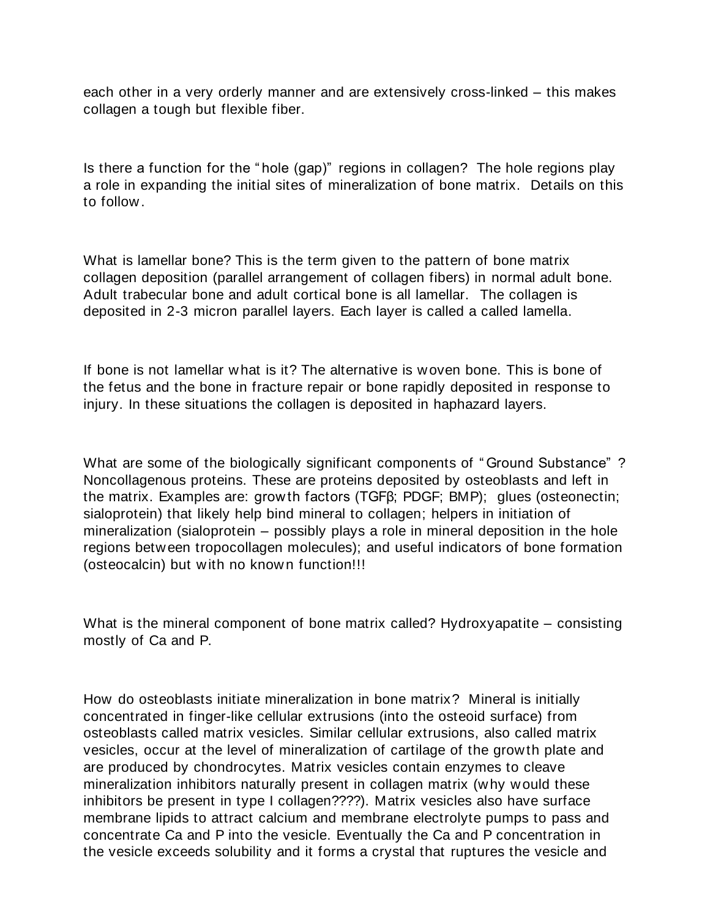each other in a very orderly manner and are extensively cross-linked – this makes collagen a tough but flexible fiber.

Is there a function for the " hole (gap)" regions in collagen? The hole regions play a role in expanding the initial sites of mineralization of bone matrix. Details on this to follow.

What is lamellar bone? This is the term given to the pattern of bone matrix collagen deposition (parallel arrangement of collagen fibers) in normal adult bone. Adult trabecular bone and adult cortical bone is all lamellar. The collagen is deposited in 2-3 micron parallel layers. Each layer is called a called lamella.

If bone is not lamellar what is it? The alternative is woven bone. This is bone of the fetus and the bone in fracture repair or bone rapidly deposited in response to injury. In these situations the collagen is deposited in haphazard layers.

What are some of the biologically significant components of " Ground Substance" ? Noncollagenous proteins. These are proteins deposited by osteoblasts and left in the matrix. Examples are: growth factors (TGFβ; PDGF; BMP); glues (osteonectin; sialoprotein) that likely help bind mineral to collagen; helpers in initiation of mineralization (sialoprotein – possibly plays a role in mineral deposition in the hole regions between tropocollagen molecules); and useful indicators of bone formation (osteocalcin) but with no known function!!!

What is the mineral component of bone matrix called? Hydroxyapatite – consisting mostly of Ca and P.

How do osteoblasts initiate mineralization in bone matrix? Mineral is initially concentrated in finger-like cellular extrusions (into the osteoid surface) from osteoblasts called matrix vesicles. Similar cellular extrusions, also called matrix vesicles, occur at the level of mineralization of cartilage of the growth plate and are produced by chondrocytes. Matrix vesicles contain enzymes to cleave mineralization inhibitors naturally present in collagen matrix (why would these inhibitors be present in type I collagen????). Matrix vesicles also have surface membrane lipids to attract calcium and membrane electrolyte pumps to pass and concentrate Ca and P into the vesicle. Eventually the Ca and P concentration in the vesicle exceeds solubility and it forms a crystal that ruptures the vesicle and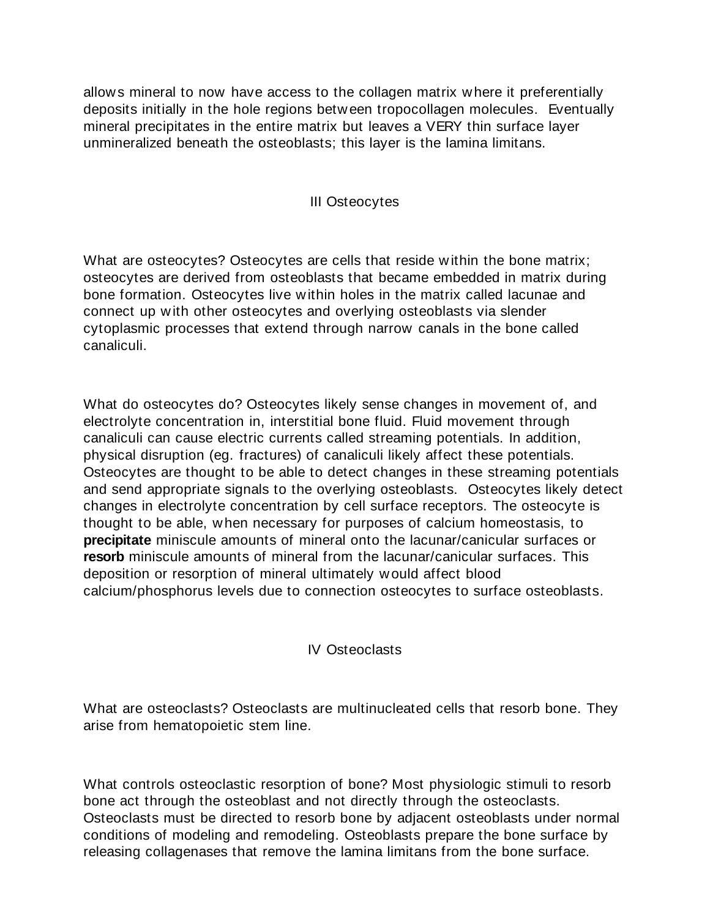allows mineral to now have access to the collagen matrix where it preferentially deposits initially in the hole regions between tropocollagen molecules. Eventually mineral precipitates in the entire matrix but leaves a VERY thin surface layer unmineralized beneath the osteoblasts; this layer is the lamina limitans.

#### III Osteocytes

What are osteocytes? Osteocytes are cells that reside within the bone matrix; osteocytes are derived from osteoblasts that became embedded in matrix during bone formation. Osteocytes live within holes in the matrix called lacunae and connect up with other osteocytes and overlying osteoblasts via slender cytoplasmic processes that extend through narrow canals in the bone called canaliculi.

What do osteocytes do? Osteocytes likely sense changes in movement of, and electrolyte concentration in, interstitial bone fluid. Fluid movement through canaliculi can cause electric currents called streaming potentials. In addition, physical disruption (eg. fractures) of canaliculi likely affect these potentials. Osteocytes are thought to be able to detect changes in these streaming potentials and send appropriate signals to the overlying osteoblasts. Osteocytes likely detect changes in electrolyte concentration by cell surface receptors. The osteocyte is thought to be able, when necessary for purposes of calcium homeostasis, to **precipitate** miniscule amounts of mineral onto the lacunar/canicular surfaces or **resorb** miniscule amounts of mineral from the lacunar/canicular surfaces. This deposition or resorption of mineral ultimately would affect blood calcium/phosphorus levels due to connection osteocytes to surface osteoblasts.

IV Osteoclasts

What are osteoclasts? Osteoclasts are multinucleated cells that resorb bone. They arise from hematopoietic stem line.

What controls osteoclastic resorption of bone? Most physiologic stimuli to resorb bone act through the osteoblast and not directly through the osteoclasts. Osteoclasts must be directed to resorb bone by adjacent osteoblasts under normal conditions of modeling and remodeling. Osteoblasts prepare the bone surface by releasing collagenases that remove the lamina limitans from the bone surface.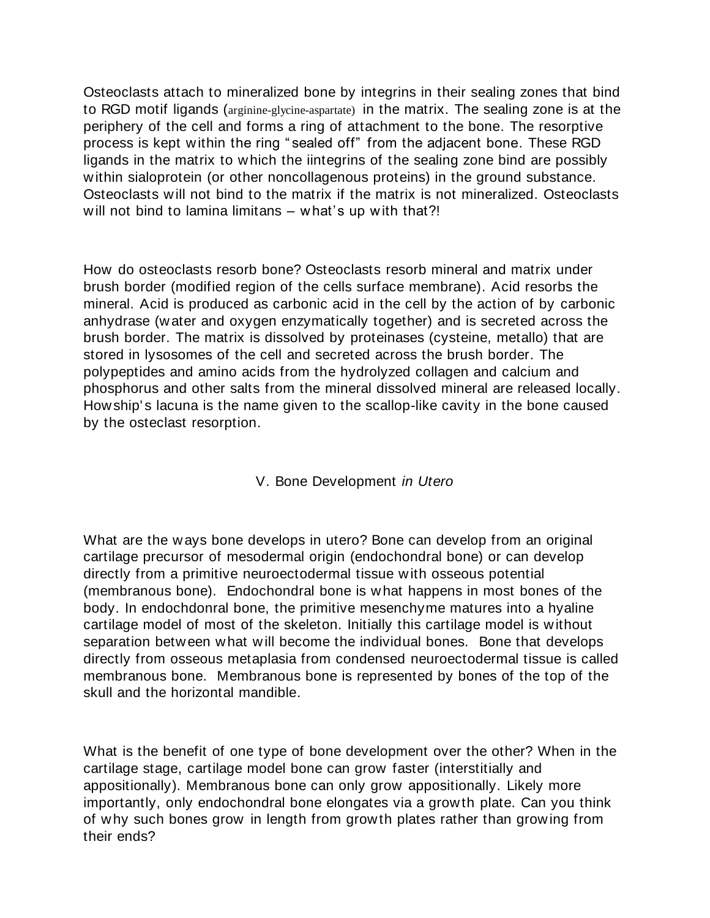Osteoclasts attach to mineralized bone by integrins in their sealing zones that bind to RGD motif ligands (arginine-glycine-aspartate) in the matrix. The sealing zone is at the periphery of the cell and forms a ring of attachment to the bone. The resorptive process is kept within the ring " sealed off" from the adjacent bone. These RGD ligands in the matrix to which the iintegrins of the sealing zone bind are possibly within sialoprotein (or other noncollagenous proteins) in the ground substance. Osteoclasts will not bind to the matrix if the matrix is not mineralized. Osteoclasts will not bind to lamina limitans – what's up with that?!

How do osteoclasts resorb bone? Osteoclasts resorb mineral and matrix under brush border (modified region of the cells surface membrane). Acid resorbs the mineral. Acid is produced as carbonic acid in the cell by the action of by carbonic anhydrase (water and oxygen enzymatically together) and is secreted across the brush border. The matrix is dissolved by proteinases (cysteine, metallo) that are stored in lysosomes of the cell and secreted across the brush border. The polypeptides and amino acids from the hydrolyzed collagen and calcium and phosphorus and other salts from the mineral dissolved mineral are released locally. Howship's lacuna is the name given to the scallop-like cavity in the bone caused by the osteclast resorption.

### V. Bone Development *in Utero*

What are the ways bone develops in utero? Bone can develop from an original cartilage precursor of mesodermal origin (endochondral bone) or can develop directly from a primitive neuroectodermal tissue with osseous potential (membranous bone). Endochondral bone is what happens in most bones of the body. In endochdonral bone, the primitive mesenchyme matures into a hyaline cartilage model of most of the skeleton. Initially this cartilage model is without separation between what will become the individual bones. Bone that develops directly from osseous metaplasia from condensed neuroectodermal tissue is called membranous bone. Membranous bone is represented by bones of the top of the skull and the horizontal mandible.

What is the benefit of one type of bone development over the other? When in the cartilage stage, cartilage model bone can grow faster (interstitially and appositionally). Membranous bone can only grow appositionally. Likely more importantly, only endochondral bone elongates via a growth plate. Can you think of why such bones grow in length from growth plates rather than growing from their ends?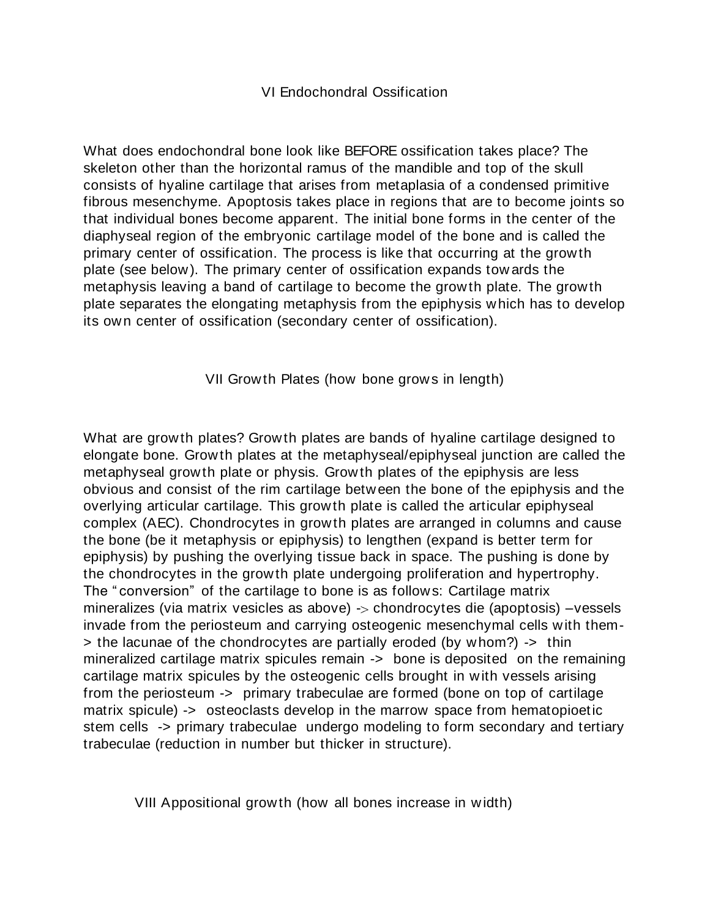### VI Endochondral Ossification

What does endochondral bone look like BEFORE ossification takes place? The skeleton other than the horizontal ramus of the mandible and top of the skull consists of hyaline cartilage that arises from metaplasia of a condensed primitive fibrous mesenchyme. Apoptosis takes place in regions that are to become joints so that individual bones become apparent. The initial bone forms in the center of the diaphyseal region of the embryonic cartilage model of the bone and is called the primary center of ossification. The process is like that occurring at the growth plate (see below). The primary center of ossification expands tow ards the metaphysis leaving a band of cartilage to become the growth plate. The growth plate separates the elongating metaphysis from the epiphysis which has to develop its own center of ossification (secondary center of ossification).

VII Growth Plates (how bone grows in length)

What are growth plates? Growth plates are bands of hyaline cartilage designed to elongate bone. Growth plates at the metaphyseal/epiphyseal junction are called the metaphyseal growth plate or physis. Growth plates of the epiphysis are less obvious and consist of the rim cartilage between the bone of the epiphysis and the overlying articular cartilage. This growth plate is called the articular epiphyseal complex (AEC). Chondrocytes in growth plates are arranged in columns and cause the bone (be it metaphysis or epiphysis) to lengthen (expand is better term for epiphysis) by pushing the overlying tissue back in space. The pushing is done by the chondrocytes in the growth plate undergoing proliferation and hypertrophy. The " conversion" of the cartilage to bone is as follows: Cartilage matrix mineralizes (via matrix vesicles as above)  $\rightarrow$  chondrocytes die (apoptosis) –vessels invade from the periosteum and carrying osteogenic mesenchymal cells with them- > the lacunae of the chondrocytes are partially eroded (by whom?) -> thin mineralized cartilage matrix spicules remain -> bone is deposited on the remaining cartilage matrix spicules by the osteogenic cells brought in with vessels arising from the periosteum -> primary trabeculae are formed (bone on top of cartilage matrix spicule) -> osteoclasts develop in the marrow space from hematopioetic stem cells -> primary trabeculae undergo modeling to form secondary and tertiary trabeculae (reduction in number but thicker in structure).

VIII Appositional growth (how all bones increase in width)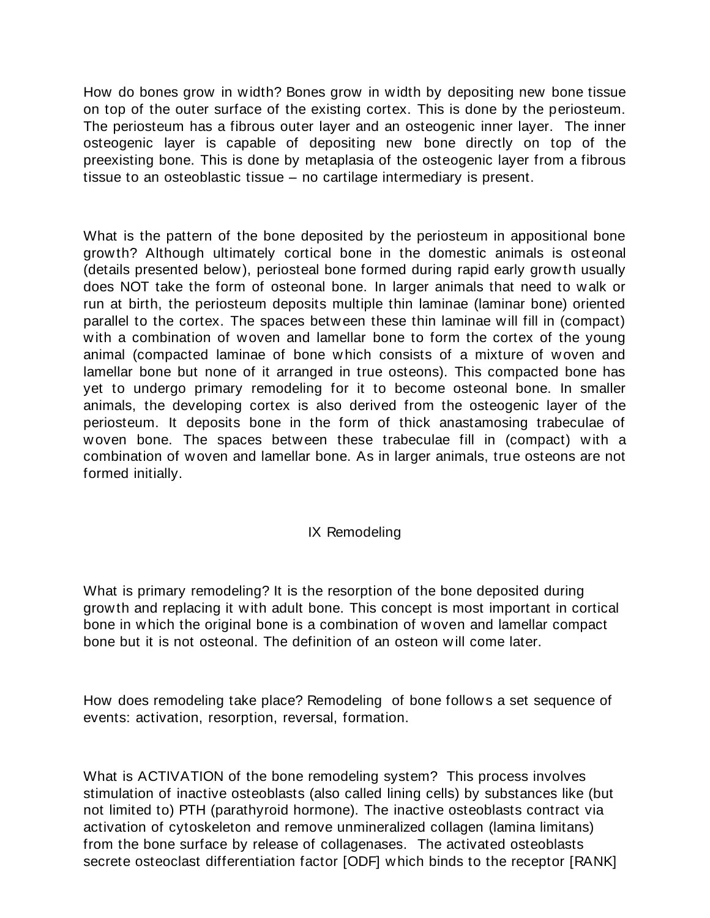How do bones grow in width? Bones grow in width by depositing new bone tissue on top of the outer surface of the existing cortex. This is done by the periosteum. The periosteum has a fibrous outer layer and an osteogenic inner layer. The inner osteogenic layer is capable of depositing new bone directly on top of the preexisting bone. This is done by metaplasia of the osteogenic layer from a fibrous tissue to an osteoblastic tissue – no cartilage intermediary is present.

What is the pattern of the bone deposited by the periosteum in appositional bone growth? Although ultimately cortical bone in the domestic animals is ost eonal (details presented below), periosteal bone formed during rapid early growth usually does NOT take the form of osteonal bone. In larger animals that need to walk or run at birth, the periosteum deposits multiple thin laminae (laminar bone) oriented parallel to the cortex. The spaces between these thin laminae will fill in (compact) with a combination of woven and lamellar bone to form the cortex of the young animal (compacted laminae of bone which consists of a mixture of woven and lamellar bone but none of it arranged in true osteons). This compacted bone has yet to undergo primary remodeling for it to become osteonal bone. In smaller animals, the developing cortex is also derived from the osteogenic layer of the periosteum. It deposits bone in the form of thick anastamosing trabeculae of woven bone. The spaces between these trabeculae fill in (compact) with a combination of woven and lamellar bone. As in larger animals, true osteons are not formed initially.

### IX Remodeling

What is primary remodeling? It is the resorption of the bone deposited during growth and replacing it with adult bone. This concept is most important in cortical bone in which the original bone is a combination of woven and lamellar compact bone but it is not osteonal. The definition of an osteon will come later.

How does remodeling take place? Remodeling of bone follows a set sequence of events: activation, resorption, reversal, formation.

What is ACTIVATION of the bone remodeling system? This process involves stimulation of inactive osteoblasts (also called lining cells) by substances like (but not limited to) PTH (parathyroid hormone). The inactive osteoblasts contract via activation of cytoskeleton and remove unmineralized collagen (lamina limitans) from the bone surface by release of collagenases. The activated osteoblasts secrete osteoclast differentiation factor [ODF] which binds to the receptor [RANK]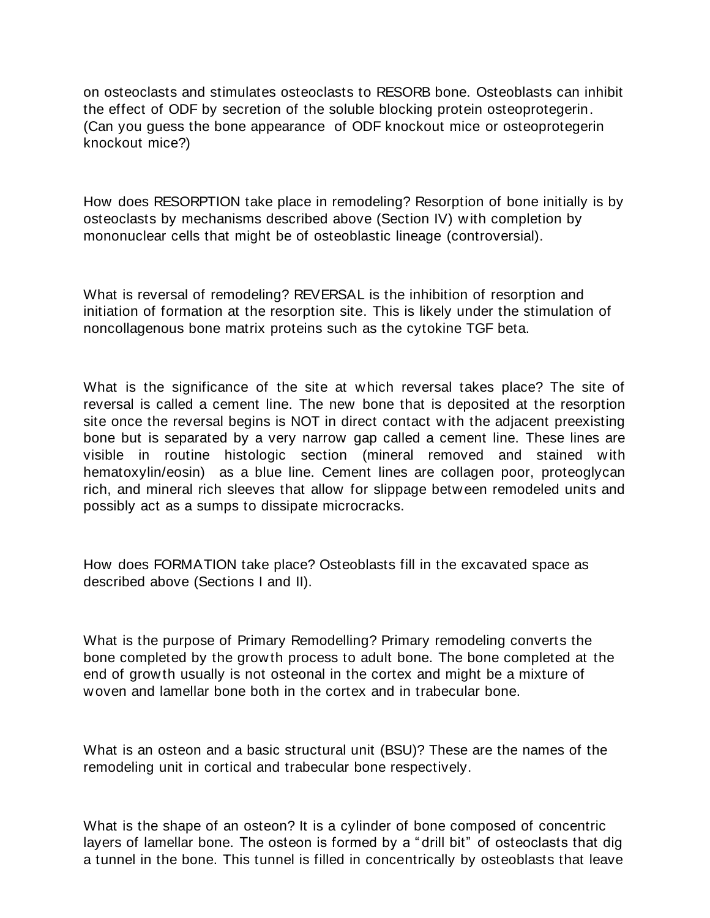on osteoclasts and stimulates osteoclasts to RESORB bone. Osteoblasts can inhibit the effect of ODF by secretion of the soluble blocking protein osteoprotegerin. (Can you guess the bone appearance of ODF knockout mice or osteoprotegerin knockout mice?)

How does RESORPTION take place in remodeling? Resorption of bone initially is by osteoclasts by mechanisms described above (Section IV) with completion by mononuclear cells that might be of osteoblastic lineage (controversial).

What is reversal of remodeling? REVERSAL is the inhibition of resorption and initiation of formation at the resorption site. This is likely under the stimulation of noncollagenous bone matrix proteins such as the cytokine TGF beta.

What is the significance of the site at which reversal takes place? The site of reversal is called a cement line. The new bone that is deposited at the resorption site once the reversal begins is NOT in direct contact with the adjacent preexisting bone but is separated by a very narrow gap called a cement line. These lines are visible in routine histologic section (mineral removed and stained with hematoxylin/eosin) as a blue line. Cement lines are collagen poor, proteoglycan rich, and mineral rich sleeves that allow for slippage between remodeled units and possibly act as a sumps to dissipate microcracks.

How does FORMATION take place? Osteoblasts fill in the excavated space as described above (Sections I and II).

What is the purpose of Primary Remodelling? Primary remodeling converts the bone completed by the growth process to adult bone. The bone completed at the end of growth usually is not osteonal in the cortex and might be a mixture of woven and lamellar bone both in the cortex and in trabecular bone.

What is an osteon and a basic structural unit (BSU)? These are the names of the remodeling unit in cortical and trabecular bone respectively.

What is the shape of an osteon? It is a cylinder of bone composed of concentric layers of lamellar bone. The osteon is formed by a " drill bit" of osteoclasts that dig a tunnel in the bone. This tunnel is filled in concentrically by osteoblasts that leave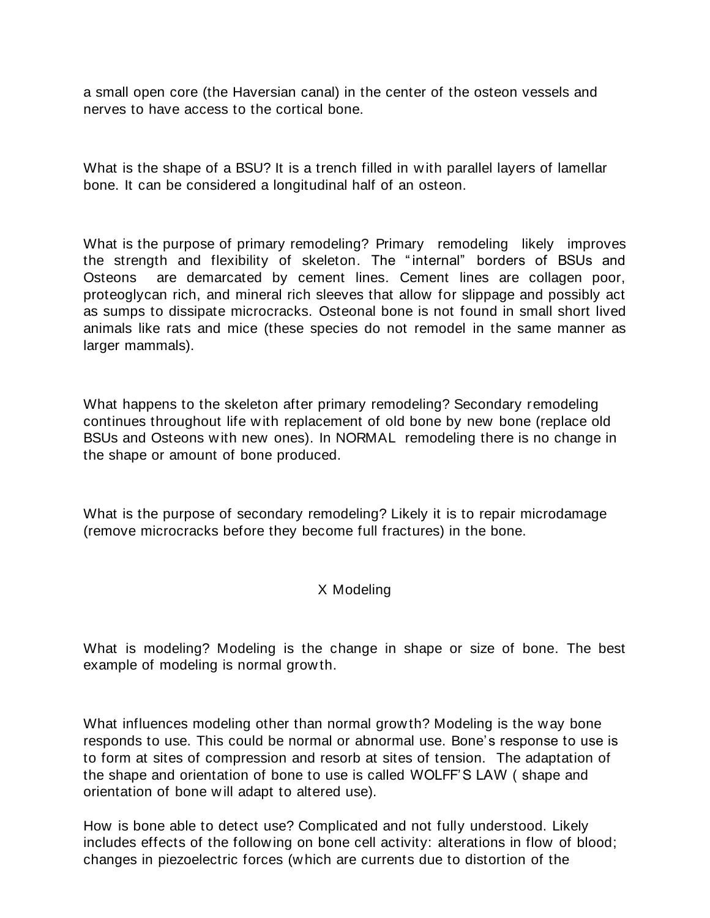a small open core (the Haversian canal) in the center of the osteon vessels and nerves to have access to the cortical bone.

What is the shape of a BSU? It is a trench filled in with parallel layers of lamellar bone. It can be considered a longitudinal half of an osteon.

What is the purpose of primary remodeling? Primary remodeling likely improves the strength and flexibility of skeleton. The " internal" borders of BSUs and Osteons are demarcated by cement lines. Cement lines are collagen poor, proteoglycan rich, and mineral rich sleeves that allow for slippage and possibly act as sumps to dissipate microcracks. Osteonal bone is not found in small short lived animals like rats and mice (these species do not remodel in the same manner as larger mammals).

What happens to the skeleton after primary remodeling? Secondary remodeling continues throughout life with replacement of old bone by new bone (replace old BSUs and Osteons with new ones). In NORMAL remodeling there is no change in the shape or amount of bone produced.

What is the purpose of secondary remodeling? Likely it is to repair microdamage (remove microcracks before they become full fractures) in the bone.

### X Modeling

What is modeling? Modeling is the change in shape or size of bone. The best example of modeling is normal growth.

What influences modeling other than normal growth? Modeling is the way bone responds to use. This could be normal or abnormal use. Bone's response to use is to form at sites of compression and resorb at sites of tension. The adaptation of the shape and orientation of bone to use is called WOLFF'S LAW ( shape and orientation of bone will adapt to altered use).

How is bone able to detect use? Complicated and not fully understood. Likely includes effects of the following on bone cell activity: alterations in flow of blood; changes in piezoelectric forces (which are currents due to distortion of the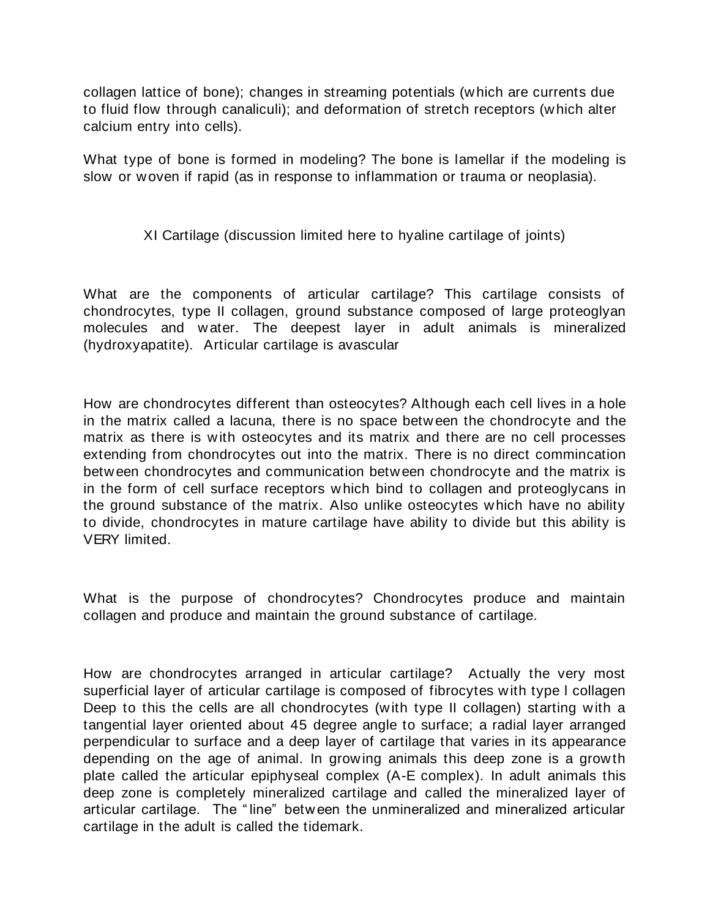collagen lattice of bone); changes in streaming potentials (which are currents due to fluid flow through canaliculi); and deformation of stretch receptors (which alter calcium entry into cells).

What type of bone is formed in modeling? The bone is lamellar if the modeling is slow or woven if rapid (as in response to inflammation or trauma or neoplasia).

# XI Cartilage (discussion limited here to hyaline cartilage of joints)

What are the components of articular cartilage? This cartilage consists of chondrocytes, type II collagen, ground substance composed of large proteoglyan molecules and water. The deepest layer in adult animals is mineralized (hydroxyapatite). Articular cartilage is avascular

How are chondrocytes different than osteocytes? Although each cell lives in a hole in the matrix called a lacuna, there is no space between the chondrocyte and the matrix as there is with osteocytes and its matrix and there are no cell processes extending from chondrocytes out into the matrix. There is no direct commincation between chondrocytes and communication between chondrocyte and the matrix is in the form of cell surface receptors which bind to collagen and proteoglycans in the ground substance of the matrix. Also unlike osteocytes which have no ability to divide, chondrocytes in mature cartilage have ability to divide but this ability is VERY limited.

What is the purpose of chondrocytes? Chondrocytes produce and maintain collagen and produce and maintain the ground substance of cartilage.

How are chondrocytes arranged in articular cartilage? Actually the very most superficial layer of articular cartilage is composed of fibrocytes with type l collagen Deep to this the cells are all chondrocytes (with type II collagen) starting with a tangential layer oriented about 45 degree angle to surface; a radial layer arranged perpendicular to surface and a deep layer of cartilage that varies in its appearance depending on the age of animal. In growing animals this deep zone is a growth plate called the articular epiphyseal complex (A-E complex). In adult animals this deep zone is completely mineralized cartilage and called the mineralized layer of articular cartilage. The " line" between the unmineralized and mineralized articular cartilage in the adult is called the tidemark.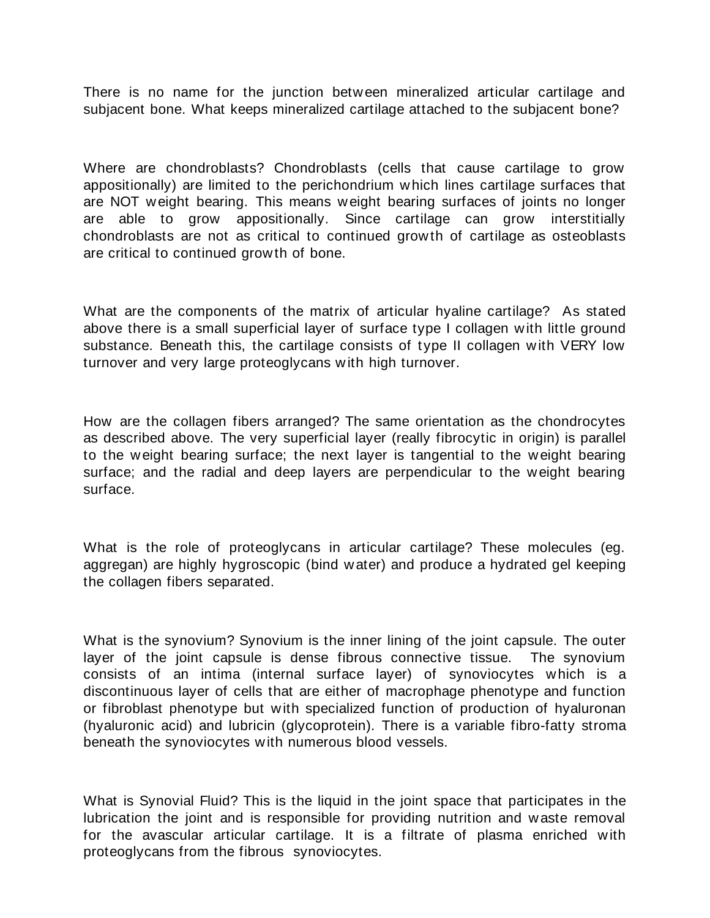There is no name for the junction between mineralized articular cartilage and subjacent bone. What keeps mineralized cartilage attached to the subjacent bone?

Where are chondroblasts? Chondroblasts (cells that cause cartilage to grow appositionally) are limited to the perichondrium which lines cartilage surfaces that are NOT weight bearing. This means weight bearing surfaces of joints no longer are able to grow appositionally. Since cartilage can grow interstitially chondroblasts are not as critical to continued growth of cartilage as osteoblasts are critical to continued growth of bone.

What are the components of the matrix of articular hyaline cartilage? As stated above there is a small superficial layer of surface type I collagen with little ground substance. Beneath this, the cartilage consists of type II collagen with VERY low turnover and very large proteoglycans with high turnover.

How are the collagen fibers arranged? The same orientation as the chondrocytes as described above. The very superficial layer (really fibrocytic in origin) is parallel to the weight bearing surface; the next layer is tangential to the weight bearing surface; and the radial and deep layers are perpendicular to the weight bearing surface.

What is the role of proteoglycans in articular cartilage? These molecules (eg. aggregan) are highly hygroscopic (bind water) and produce a hydrated gel keeping the collagen fibers separated.

What is the synovium? Synovium is the inner lining of the joint capsule. The outer layer of the joint capsule is dense fibrous connective tissue. The synovium consists of an intima (internal surface layer) of synoviocytes which is a discontinuous layer of cells that are either of macrophage phenotype and function or fibroblast phenotype but with specialized function of production of hyaluronan (hyaluronic acid) and lubricin (glycoprotein). There is a variable fibro-fatty stroma beneath the synoviocytes with numerous blood vessels.

What is Synovial Fluid? This is the liquid in the joint space that participates in the lubrication the joint and is responsible for providing nutrition and waste removal for the avascular articular cartilage. It is a filtrate of plasma enriched with proteoglycans from the fibrous synoviocytes.